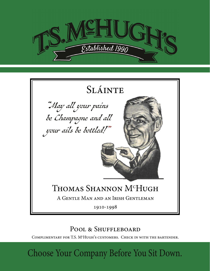

# SlÁinte

"May all your pains be Champagne and all your ails be bottled!"



# Thomas Shannon M<sup>c</sup>Hugh

A Gentle Man and an Irish Gentleman

1910-1998

## POOL & SHUFFLEBOARD

COMPLIMENTARY FOR T.S. M<sup>c</sup>HUGH's CUSTOMERS. CHECK IN WITH THE BARTENDER.

Choose Your Company Before You Sit Down.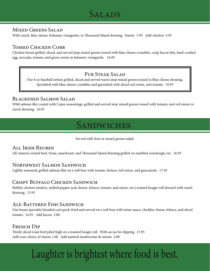## SALADS

## Mixed Greens Salad

With ranch, blue cheese, balsamic vinaigrette, or Thousand Island dressing. Starter 5.95 Add chicken 4.95

## Tossed Chicken Cobb

Chicken breast grilled, sliced, and served atop mixed greens tossed with blue cheese crumbles, crisp bacon bits, hard-cooked egg, avocado, tomato, and green onion in balsamic vinaigrette. 16.95

## PUB STEAK SALAD

Our 8 oz baseball sirloin grilled, sliced and served warm atop mixed greens tossed in blue cheese dressing. Sprinkled with blue cheese crumbles and garnished with sliced red onion, and tomato. 19.95

## Blackened Salmon Salad

Wild salmon filet coated with Cajun seasonings, grilled and served atop mixed greens tossed with tomato, and red onion in ranch dressing. 16.95

## **SANDWICHES**

Served with fries or mixed greens salad.

## All Irish Reuben

All-natural corned beef, Swiss, sauerkraut, and Thousand Island dressing grilled on marbled sourdough-rye. 16.95

## Northwest Salmon Sandwich

Lightly seasoned, grilled salmon filet on a soft bun with tomato, lettuce, red onion, and guacamole. 17.95

## Crispy Buffalo Chicken Sandwich

Buffalo chicken tenders, melted pepper jack cheese, lettuce, tomato, and onion, on a toasted hoagie roll dressed with ranch dressing. 15.95

## Ale-Battered Fish Sandwich

Our house specialty breaded cod quick-fried and served on a soft bun with tartar sauce, cheddar cheese, lettuce, and sliced tomato. 14.95 Add bacon 2.00

## FRENCH DIP

Thinly sliced roast beef piled high on a toasted hoagie roll. With au jus for dipping. 15.95 Add your choice of cheese 1.00 Add sautéed mushrooms & onions 2.00

# Laughter is brightest where food is best.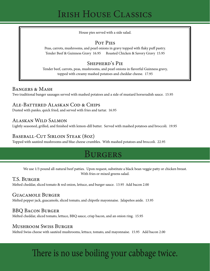## Irish House Classics

House pies served with a side salad.

## Pot Pies

Peas, carrots, mushrooms, and pearl onions in gravy topped with flaky puff pastry. Tender Beef & Guinness Gravy 16.95 Roasted Chicken & Savory Gravy 15.95

## Shepherd's Pie

Tender beef, carrots, peas, mushrooms, and pearl onions in flavorful Guinness gravy, topped with creamy mashed potatoes and cheddar cheese. 17.95

## Bangers & Mash

Two traditional banger sausages served with mashed potatoes and a side of mustard horseradish sauce. 15.95

## Ale-Battered Alaskan Cod & Chips

Dusted with panko, quick fried, and served with fries and tartar. 16.95

## Alaskan Wild Salmon

Lightly seasoned, grilled, and finished with lemon-dill butter. Served with mashed potatoes and broccoli. 19.95

## BASEBALL-CUT SIRLOIN STEAK (80Z)

Topped with sautéed mushrooms and blue cheese crumbles. With mashed potatoes and broccoli. 22.95

## **BURGERS**

We use 1/3 pound all-natural beef patties. Upon request, substitute a black bean veggie patty or chicken breast. With fries or mixed greens salad.

## T.S. Burger

Melted cheddar, sliced tomato & red onion, lettuce, and burger sauce. 13.95 Add bacon 2.00

## Guacamole Burger

Melted pepper jack, guacamole, sliced tomato, and chipotle mayonnaise. Jalapeños aside. 13.95

## BBQ Bacon Burger

Melted cheddar, sliced tomato, lettuce, BBQ sauce, crisp bacon, and an onion ring. 15.95

## Mushroom Swiss Burger

Melted Swiss cheese with sautéed mushrooms, lettuce, tomato, and mayonnaise. 15.95 Add bacon 2.00

# There is no use boiling your cabbage twice.